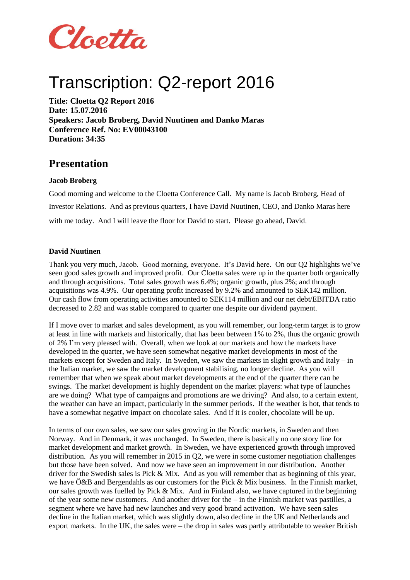

# Transcription: Q2-report 2016

**Title: Cloetta Q2 Report 2016 Date: 15.07.2016 Speakers: Jacob Broberg, David Nuutinen and Danko Maras Conference Ref. No: EV00043100 Duration: 34:35**

# **Presentation**

# **Jacob Broberg**

Good morning and welcome to the Cloetta Conference Call. My name is Jacob Broberg, Head of Investor Relations. And as previous quarters, I have David Nuutinen, CEO, and Danko Maras here with me today. And I will leave the floor for David to start. Please go ahead, David.

# **David Nuutinen**

Thank you very much, Jacob. Good morning, everyone. It's David here. On our Q2 highlights we've seen good sales growth and improved profit. Our Cloetta sales were up in the quarter both organically and through acquisitions. Total sales growth was 6.4%; organic growth, plus 2%; and through acquisitions was 4.9%. Our operating profit increased by 9.2% and amounted to SEK142 million. Our cash flow from operating activities amounted to SEK114 million and our net debt/EBITDA ratio decreased to 2.82 and was stable compared to quarter one despite our dividend payment.

If I move over to market and sales development, as you will remember, our long-term target is to grow at least in line with markets and historically, that has been between 1% to 2%, thus the organic growth of 2% I'm very pleased with. Overall, when we look at our markets and how the markets have developed in the quarter, we have seen somewhat negative market developments in most of the markets except for Sweden and Italy. In Sweden, we saw the markets in slight growth and Italy – in the Italian market, we saw the market development stabilising, no longer decline. As you will remember that when we speak about market developments at the end of the quarter there can be swings. The market development is highly dependent on the market players: what type of launches are we doing? What type of campaigns and promotions are we driving? And also, to a certain extent, the weather can have an impact, particularly in the summer periods. If the weather is hot, that tends to have a somewhat negative impact on chocolate sales. And if it is cooler, chocolate will be up.

In terms of our own sales, we saw our sales growing in the Nordic markets, in Sweden and then Norway. And in Denmark, it was unchanged. In Sweden, there is basically no one story line for market development and market growth. In Sweden, we have experienced growth through improved distribution. As you will remember in 2015 in Q2, we were in some customer negotiation challenges but those have been solved. And now we have seen an improvement in our distribution. Another driver for the Swedish sales is Pick & Mix. And as you will remember that as beginning of this year, we have Ö&B and Bergendahls as our customers for the Pick & Mix business. In the Finnish market, our sales growth was fuelled by Pick  $& Mix$ . And in Finland also, we have captured in the beginning of the year some new customers. And another driver for the – in the Finnish market was pastilles, a segment where we have had new launches and very good brand activation. We have seen sales decline in the Italian market, which was slightly down, also decline in the UK and Netherlands and export markets. In the UK, the sales were – the drop in sales was partly attributable to weaker British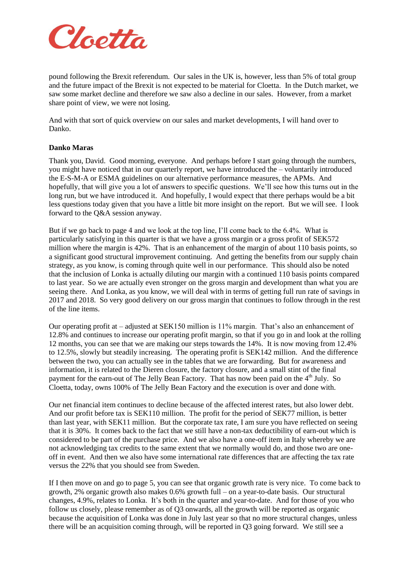

pound following the Brexit referendum. Our sales in the UK is, however, less than 5% of total group and the future impact of the Brexit is not expected to be material for Cloetta. In the Dutch market, we saw some market decline and therefore we saw also a decline in our sales. However, from a market share point of view, we were not losing.

And with that sort of quick overview on our sales and market developments, I will hand over to Danko.

#### **Danko Maras**

Thank you, David. Good morning, everyone. And perhaps before I start going through the numbers, you might have noticed that in our quarterly report, we have introduced the – voluntarily introduced the E-S-M-A or ESMA guidelines on our alternative performance measures, the APMs. And hopefully, that will give you a lot of answers to specific questions. We'll see how this turns out in the long run, but we have introduced it. And hopefully, I would expect that there perhaps would be a bit less questions today given that you have a little bit more insight on the report. But we will see. I look forward to the Q&A session anyway.

But if we go back to page 4 and we look at the top line, I'll come back to the 6.4%. What is particularly satisfying in this quarter is that we have a gross margin or a gross profit of SEK572 million where the margin is 42%. That is an enhancement of the margin of about 110 basis points, so a significant good structural improvement continuing. And getting the benefits from our supply chain strategy, as you know, is coming through quite well in our performance. This should also be noted that the inclusion of Lonka is actually diluting our margin with a continued 110 basis points compared to last year. So we are actually even stronger on the gross margin and development than what you are seeing there. And Lonka, as you know, we will deal with in terms of getting full run rate of savings in 2017 and 2018. So very good delivery on our gross margin that continues to follow through in the rest of the line items.

Our operating profit at – adjusted at SEK150 million is 11% margin. That's also an enhancement of 12.8% and continues to increase our operating profit margin, so that if you go in and look at the rolling 12 months, you can see that we are making our steps towards the 14%. It is now moving from 12.4% to 12.5%, slowly but steadily increasing. The operating profit is SEK142 million. And the difference between the two, you can actually see in the tables that we are forwarding. But for awareness and information, it is related to the Dieren closure, the factory closure, and a small stint of the final payment for the earn-out of The Jelly Bean Factory. That has now been paid on the  $4<sup>th</sup>$  July. So Cloetta, today, owns 100% of The Jelly Bean Factory and the execution is over and done with.

Our net financial item continues to decline because of the affected interest rates, but also lower debt. And our profit before tax is SEK110 million. The profit for the period of SEK77 million, is better than last year, with SEK11 million. But the corporate tax rate, I am sure you have reflected on seeing that it is 30%. It comes back to the fact that we still have a non-tax deductibility of earn-out which is considered to be part of the purchase price. And we also have a one-off item in Italy whereby we are not acknowledging tax credits to the same extent that we normally would do, and those two are oneoff in event. And then we also have some international rate differences that are affecting the tax rate versus the 22% that you should see from Sweden.

If I then move on and go to page 5, you can see that organic growth rate is very nice. To come back to growth, 2% organic growth also makes 0.6% growth full – on a year-to-date basis. Our structural changes, 4.9%, relates to Lonka. It's both in the quarter and year-to-date. And for those of you who follow us closely, please remember as of Q3 onwards, all the growth will be reported as organic because the acquisition of Lonka was done in July last year so that no more structural changes, unless there will be an acquisition coming through, will be reported in Q3 going forward. We still see a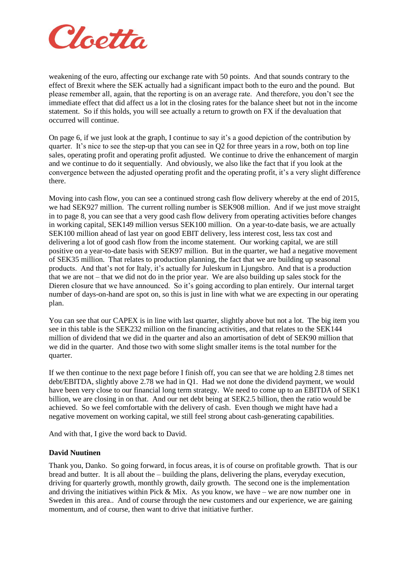

weakening of the euro, affecting our exchange rate with 50 points. And that sounds contrary to the effect of Brexit where the SEK actually had a significant impact both to the euro and the pound. But please remember all, again, that the reporting is on an average rate. And therefore, you don't see the immediate effect that did affect us a lot in the closing rates for the balance sheet but not in the income statement. So if this holds, you will see actually a return to growth on FX if the devaluation that occurred will continue.

On page 6, if we just look at the graph, I continue to say it's a good depiction of the contribution by quarter. It's nice to see the step-up that you can see in Q2 for three years in a row, both on top line sales, operating profit and operating profit adjusted. We continue to drive the enhancement of margin and we continue to do it sequentially. And obviously, we also like the fact that if you look at the convergence between the adjusted operating profit and the operating profit, it's a very slight difference there.

Moving into cash flow, you can see a continued strong cash flow delivery whereby at the end of 2015, we had SEK927 million. The current rolling number is SEK908 million. And if we just move straight in to page 8, you can see that a very good cash flow delivery from operating activities before changes in working capital, SEK149 million versus SEK100 million. On a year-to-date basis, we are actually SEK100 million ahead of last year on good EBIT delivery, less interest cost, less tax cost and delivering a lot of good cash flow from the income statement. Our working capital, we are still positive on a year-to-date basis with SEK97 million. But in the quarter, we had a negative movement of SEK35 million. That relates to production planning, the fact that we are building up seasonal products. And that's not for Italy, it's actually for Juleskum in Ljungsbro. And that is a production that we are not – that we did not do in the prior year. We are also building up sales stock for the Dieren closure that we have announced. So it's going according to plan entirely. Our internal target number of days-on-hand are spot on, so this is just in line with what we are expecting in our operating plan.

You can see that our CAPEX is in line with last quarter, slightly above but not a lot. The big item you see in this table is the SEK232 million on the financing activities, and that relates to the SEK144 million of dividend that we did in the quarter and also an amortisation of debt of SEK90 million that we did in the quarter. And those two with some slight smaller items is the total number for the quarter.

If we then continue to the next page before I finish off, you can see that we are holding 2.8 times net debt/EBITDA, slightly above 2.78 we had in Q1. Had we not done the dividend payment, we would have been very close to our financial long term strategy. We need to come up to an EBITDA of SEK1 billion, we are closing in on that. And our net debt being at SEK2.5 billion, then the ratio would be achieved. So we feel comfortable with the delivery of cash. Even though we might have had a negative movement on working capital, we still feel strong about cash-generating capabilities.

And with that, I give the word back to David.

#### **David Nuutinen**

Thank you, Danko. So going forward, in focus areas, it is of course on profitable growth. That is our bread and butter. It is all about the – building the plans, delivering the plans, everyday execution, driving for quarterly growth, monthly growth, daily growth. The second one is the implementation and driving the initiatives within Pick & Mix. As you know, we have – we are now number one in Sweden in this area.. And of course through the new customers and our experience, we are gaining momentum, and of course, then want to drive that initiative further.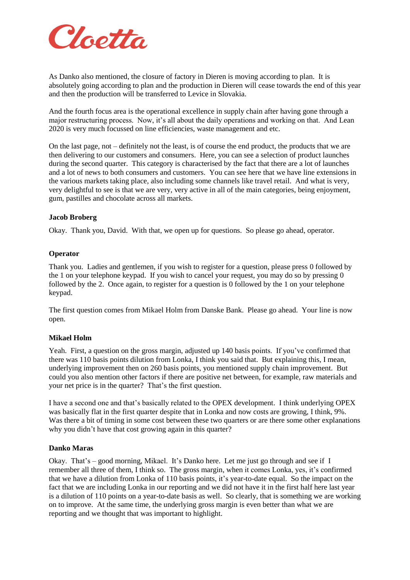

As Danko also mentioned, the closure of factory in Dieren is moving according to plan. It is absolutely going according to plan and the production in Dieren will cease towards the end of this year and then the production will be transferred to Levice in Slovakia.

And the fourth focus area is the operational excellence in supply chain after having gone through a major restructuring process. Now, it's all about the daily operations and working on that. And Lean 2020 is very much focussed on line efficiencies, waste management and etc.

On the last page, not – definitely not the least, is of course the end product, the products that we are then delivering to our customers and consumers. Here, you can see a selection of product launches during the second quarter. This category is characterised by the fact that there are a lot of launches and a lot of news to both consumers and customers. You can see here that we have line extensions in the various markets taking place, also including some channels like travel retail. And what is very, very delightful to see is that we are very, very active in all of the main categories, being enjoyment, gum, pastilles and chocolate across all markets.

# **Jacob Broberg**

Okay. Thank you, David. With that, we open up for questions. So please go ahead, operator.

#### **Operator**

Thank you. Ladies and gentlemen, if you wish to register for a question, please press 0 followed by the 1 on your telephone keypad. If you wish to cancel your request, you may do so by pressing 0 followed by the 2. Once again, to register for a question is 0 followed by the 1 on your telephone keypad.

The first question comes from Mikael Holm from Danske Bank. Please go ahead. Your line is now open.

#### **Mikael Holm**

Yeah. First, a question on the gross margin, adjusted up 140 basis points. If you've confirmed that there was 110 basis points dilution from Lonka, I think you said that. But explaining this, I mean, underlying improvement then on 260 basis points, you mentioned supply chain improvement. But could you also mention other factors if there are positive net between, for example, raw materials and your net price is in the quarter? That's the first question.

I have a second one and that's basically related to the OPEX development. I think underlying OPEX was basically flat in the first quarter despite that in Lonka and now costs are growing, I think, 9%. Was there a bit of timing in some cost between these two quarters or are there some other explanations why you didn't have that cost growing again in this quarter?

#### **Danko Maras**

Okay. That's – good morning, Mikael. It's Danko here. Let me just go through and see if I remember all three of them, I think so. The gross margin, when it comes Lonka, yes, it's confirmed that we have a dilution from Lonka of 110 basis points, it's year-to-date equal. So the impact on the fact that we are including Lonka in our reporting and we did not have it in the first half here last year is a dilution of 110 points on a year-to-date basis as well. So clearly, that is something we are working on to improve. At the same time, the underlying gross margin is even better than what we are reporting and we thought that was important to highlight.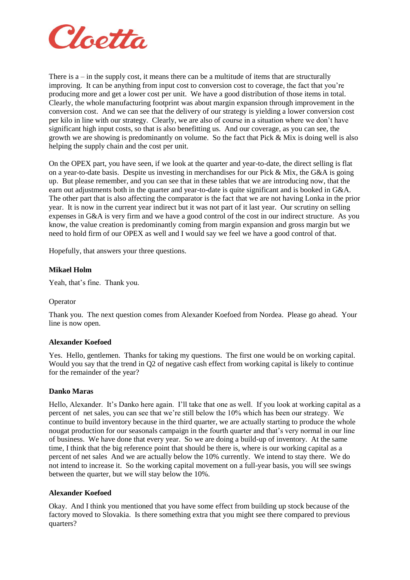

There is  $a - in$  the supply cost, it means there can be a multitude of items that are structurally improving. It can be anything from input cost to conversion cost to coverage, the fact that you're producing more and get a lower cost per unit. We have a good distribution of those items in total. Clearly, the whole manufacturing footprint was about margin expansion through improvement in the conversion cost. And we can see that the delivery of our strategy is yielding a lower conversion cost per kilo in line with our strategy. Clearly, we are also of course in a situation where we don't have significant high input costs, so that is also benefitting us. And our coverage, as you can see, the growth we are showing is predominantly on volume. So the fact that Pick & Mix is doing well is also helping the supply chain and the cost per unit.

On the OPEX part, you have seen, if we look at the quarter and year-to-date, the direct selling is flat on a year-to-date basis. Despite us investing in merchandises for our Pick  $&$  Mix, the G $&$ A is going up. But please remember, and you can see that in these tables that we are introducing now, that the earn out adjustments both in the quarter and year-to-date is quite significant and is booked in G&A. The other part that is also affecting the comparator is the fact that we are not having Lonka in the prior year. It is now in the current year indirect but it was not part of it last year. Our scrutiny on selling expenses in G&A is very firm and we have a good control of the cost in our indirect structure. As you know, the value creation is predominantly coming from margin expansion and gross margin but we need to hold firm of our OPEX as well and I would say we feel we have a good control of that.

Hopefully, that answers your three questions.

#### **Mikael Holm**

Yeah, that's fine. Thank you.

#### Operator

Thank you. The next question comes from Alexander Koefoed from Nordea. Please go ahead. Your line is now open.

#### **Alexander Koefoed**

Yes. Hello, gentlemen. Thanks for taking my questions. The first one would be on working capital. Would you say that the trend in Q2 of negative cash effect from working capital is likely to continue for the remainder of the year?

#### **Danko Maras**

Hello, Alexander. It's Danko here again. I'll take that one as well. If you look at working capital as a percent of net sales, you can see that we're still below the 10% which has been our strategy. We continue to build inventory because in the third quarter, we are actually starting to produce the whole nougat production for our seasonals campaign in the fourth quarter and that's very normal in our line of business. We have done that every year. So we are doing a build-up of inventory. At the same time, I think that the big reference point that should be there is, where is our working capital as a percent of net sales And we are actually below the 10% currently. We intend to stay there. We do not intend to increase it. So the working capital movement on a full-year basis, you will see swings between the quarter, but we will stay below the 10%.

#### **Alexander Koefoed**

Okay. And I think you mentioned that you have some effect from building up stock because of the factory moved to Slovakia. Is there something extra that you might see there compared to previous quarters?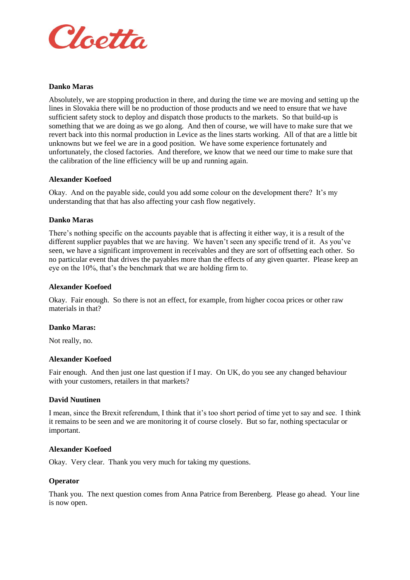

### **Danko Maras**

Absolutely, we are stopping production in there, and during the time we are moving and setting up the lines in Slovakia there will be no production of those products and we need to ensure that we have sufficient safety stock to deploy and dispatch those products to the markets. So that build-up is something that we are doing as we go along. And then of course, we will have to make sure that we revert back into this normal production in Levice as the lines starts working. All of that are a little bit unknowns but we feel we are in a good position. We have some experience fortunately and unfortunately, the closed factories. And therefore, we know that we need our time to make sure that the calibration of the line efficiency will be up and running again.

#### **Alexander Koefoed**

Okay. And on the payable side, could you add some colour on the development there? It's my understanding that that has also affecting your cash flow negatively.

# **Danko Maras**

There's nothing specific on the accounts payable that is affecting it either way, it is a result of the different supplier payables that we are having. We haven't seen any specific trend of it. As you've seen, we have a significant improvement in receivables and they are sort of offsetting each other. So no particular event that drives the payables more than the effects of any given quarter. Please keep an eye on the 10%, that's the benchmark that we are holding firm to.

# **Alexander Koefoed**

Okay. Fair enough. So there is not an effect, for example, from higher cocoa prices or other raw materials in that?

#### **Danko Maras:**

Not really, no.

#### **Alexander Koefoed**

Fair enough. And then just one last question if I may. On UK, do you see any changed behaviour with your customers, retailers in that markets?

#### **David Nuutinen**

I mean, since the Brexit referendum, I think that it's too short period of time yet to say and see. I think it remains to be seen and we are monitoring it of course closely. But so far, nothing spectacular or important.

#### **Alexander Koefoed**

Okay. Very clear. Thank you very much for taking my questions.

#### **Operator**

Thank you. The next question comes from Anna Patrice from Berenberg. Please go ahead. Your line is now open.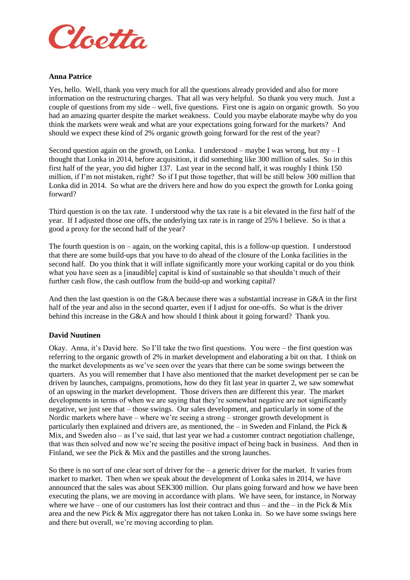

### **Anna Patrice**

Yes, hello. Well, thank you very much for all the questions already provided and also for more information on the restructuring charges. That all was very helpful. So thank you very much. Just a couple of questions from my side – well, five questions. First one is again on organic growth. So you had an amazing quarter despite the market weakness. Could you maybe elaborate maybe why do you think the markets were weak and what are your expectations going forward for the markets? And should we expect these kind of 2% organic growth going forward for the rest of the year?

Second question again on the growth, on Lonka. I understood – maybe I was wrong, but my  $-I$ thought that Lonka in 2014, before acquisition, it did something like 300 million of sales. So in this first half of the year, you did higher 137. Last year in the second half, it was roughly I think 150 million, if I'm not mistaken, right? So if I put those together, that will be still below 300 million that Lonka did in 2014. So what are the drivers here and how do you expect the growth for Lonka going forward?

Third question is on the tax rate. I understood why the tax rate is a bit elevated in the first half of the year. If I adjusted those one offs, the underlying tax rate is in range of 25% I believe. So is that a good a proxy for the second half of the year?

The fourth question is on – again, on the working capital, this is a follow-up question. I understood that there are some build-ups that you have to do ahead of the closure of the Lonka facilities in the second half. Do you think that it will inflate significantly more your working capital or do you think what you have seen as a [inaudible] capital is kind of sustainable so that shouldn't much of their further cash flow, the cash outflow from the build-up and working capital?

And then the last question is on the G&A because there was a substantial increase in G&A in the first half of the year and also in the second quarter, even if I adjust for one-offs. So what is the driver behind this increase in the G&A and how should I think about it going forward? Thank you.

#### **David Nuutinen**

Okay. Anna, it's David here. So I'll take the two first questions. You were – the first question was referring to the organic growth of 2% in market development and elaborating a bit on that. I think on the market developments as we've seen over the years that there can be some swings between the quarters. As you will remember that I have also mentioned that the market development per se can be driven by launches, campaigns, promotions, how do they fit last year in quarter 2, we saw somewhat of an upswing in the market development. Those drivers then are different this year. The market developments in terms of when we are saying that they're somewhat negative are not significantly negative, we just see that – those swings. Our sales development, and particularly in some of the Nordic markets where have – where we're seeing a strong – stronger growth development is particularly then explained and drivers are, as mentioned, the – in Sweden and Finland, the Pick  $\&$ Mix, and Sweden also  $-\alpha s$  I've said, that last year we had a customer contract negotiation challenge. that was then solved and now we're seeing the positive impact of being back in business. And then in Finland, we see the Pick & Mix and the pastilles and the strong launches.

So there is no sort of one clear sort of driver for the – a generic driver for the market. It varies from market to market. Then when we speak about the development of Lonka sales in 2014, we have announced that the sales was about SEK300 million. Our plans going forward and how we have been executing the plans, we are moving in accordance with plans. We have seen, for instance, in Norway where we have – one of our customers has lost their contract and thus – and the – in the Pick  $\&$  Mix area and the new Pick & Mix aggregator there has not taken Lonka in. So we have some swings here and there but overall, we're moving according to plan.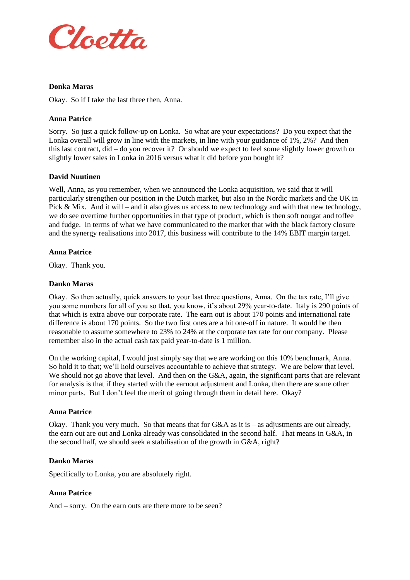

### **Donka Maras**

Okay. So if I take the last three then, Anna.

#### **Anna Patrice**

Sorry. So just a quick follow-up on Lonka. So what are your expectations? Do you expect that the Lonka overall will grow in line with the markets, in line with your guidance of 1%, 2%? And then this last contract, did – do you recover it? Or should we expect to feel some slightly lower growth or slightly lower sales in Lonka in 2016 versus what it did before you bought it?

# **David Nuutinen**

Well, Anna, as you remember, when we announced the Lonka acquisition, we said that it will particularly strengthen our position in the Dutch market, but also in the Nordic markets and the UK in Pick & Mix. And it will – and it also gives us access to new technology and with that new technology, we do see overtime further opportunities in that type of product, which is then soft nougat and toffee and fudge. In terms of what we have communicated to the market that with the black factory closure and the synergy realisations into 2017, this business will contribute to the 14% EBIT margin target.

#### **Anna Patrice**

Okay. Thank you.

#### **Danko Maras**

Okay. So then actually, quick answers to your last three questions, Anna. On the tax rate, I'll give you some numbers for all of you so that, you know, it's about 29% year-to-date. Italy is 290 points of that which is extra above our corporate rate. The earn out is about 170 points and international rate difference is about 170 points. So the two first ones are a bit one-off in nature. It would be then reasonable to assume somewhere to 23% to 24% at the corporate tax rate for our company. Please remember also in the actual cash tax paid year-to-date is 1 million.

On the working capital, I would just simply say that we are working on this 10% benchmark, Anna. So hold it to that; we'll hold ourselves accountable to achieve that strategy. We are below that level. We should not go above that level. And then on the G&A, again, the significant parts that are relevant for analysis is that if they started with the earnout adjustment and Lonka, then there are some other minor parts. But I don't feel the merit of going through them in detail here. Okay?

#### **Anna Patrice**

Okay. Thank you very much. So that means that for  $G&A$  as it is – as adjustments are out already, the earn out are out and Lonka already was consolidated in the second half. That means in G&A, in the second half, we should seek a stabilisation of the growth in G&A, right?

#### **Danko Maras**

Specifically to Lonka, you are absolutely right.

#### **Anna Patrice**

And – sorry. On the earn outs are there more to be seen?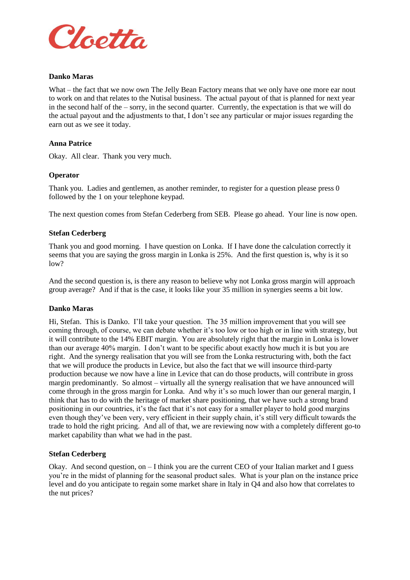

#### **Danko Maras**

What – the fact that we now own The Jelly Bean Factory means that we only have one more ear nout to work on and that relates to the Nutisal business. The actual payout of that is planned for next year in the second half of the – sorry, in the second quarter. Currently, the expectation is that we will do the actual payout and the adjustments to that, I don't see any particular or major issues regarding the earn out as we see it today.

#### **Anna Patrice**

Okay. All clear. Thank you very much.

#### **Operator**

Thank you. Ladies and gentlemen, as another reminder, to register for a question please press 0 followed by the 1 on your telephone keypad.

The next question comes from Stefan Cederberg from SEB. Please go ahead. Your line is now open.

#### **Stefan Cederberg**

Thank you and good morning. I have question on Lonka. If I have done the calculation correctly it seems that you are saying the gross margin in Lonka is 25%. And the first question is, why is it so  $low?$ 

And the second question is, is there any reason to believe why not Lonka gross margin will approach group average? And if that is the case, it looks like your 35 million in synergies seems a bit low.

#### **Danko Maras**

Hi, Stefan. This is Danko. I'll take your question. The 35 million improvement that you will see coming through, of course, we can debate whether it's too low or too high or in line with strategy, but it will contribute to the 14% EBIT margin. You are absolutely right that the margin in Lonka is lower than our average 40% margin. I don't want to be specific about exactly how much it is but you are right. And the synergy realisation that you will see from the Lonka restructuring with, both the fact that we will produce the products in Levice, but also the fact that we will insource third-party production because we now have a line in Levice that can do those products, will contribute in gross margin predominantly. So almost – virtually all the synergy realisation that we have announced will come through in the gross margin for Lonka. And why it's so much lower than our general margin, I think that has to do with the heritage of market share positioning, that we have such a strong brand positioning in our countries, it's the fact that it's not easy for a smaller player to hold good margins even though they've been very, very efficient in their supply chain, it's still very difficult towards the trade to hold the right pricing. And all of that, we are reviewing now with a completely different go-to market capability than what we had in the past.

#### **Stefan Cederberg**

Okay. And second question, on  $-I$  think you are the current CEO of your Italian market and I guess you're in the midst of planning for the seasonal product sales. What is your plan on the instance price level and do you anticipate to regain some market share in Italy in Q4 and also how that correlates to the nut prices?